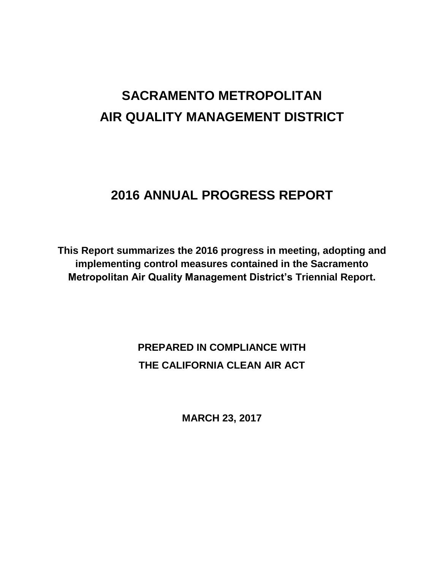# **SACRAMENTO METROPOLITAN AIR QUALITY MANAGEMENT DISTRICT**

## **2016 ANNUAL PROGRESS REPORT**

**This Report summarizes the 2016 progress in meeting, adopting and implementing control measures contained in the Sacramento Metropolitan Air Quality Management District's Triennial Report.**

> **PREPARED IN COMPLIANCE WITH THE CALIFORNIA CLEAN AIR ACT**

> > **MARCH 23, 2017**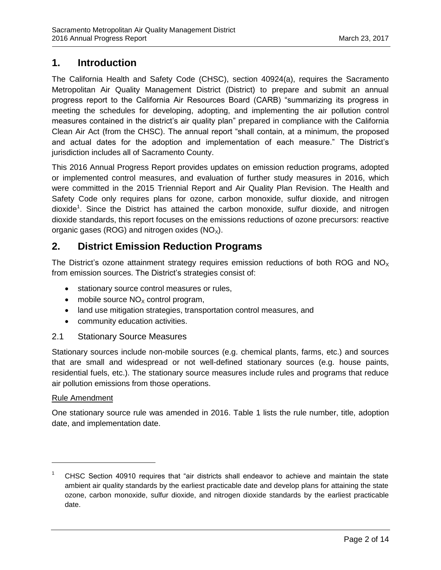## **1. Introduction**

The California Health and Safety Code (CHSC), section 40924(a), requires the Sacramento Metropolitan Air Quality Management District (District) to prepare and submit an annual progress report to the California Air Resources Board (CARB) "summarizing its progress in meeting the schedules for developing, adopting, and implementing the air pollution control measures contained in the district's air quality plan" prepared in compliance with the California Clean Air Act (from the CHSC). The annual report "shall contain, at a minimum, the proposed and actual dates for the adoption and implementation of each measure." The District's jurisdiction includes all of Sacramento County.

This 2016 Annual Progress Report provides updates on emission reduction programs, adopted or implemented control measures, and evaluation of further study measures in 2016, which were committed in the 2015 Triennial Report and Air Quality Plan Revision. The Health and Safety Code only requires plans for ozone, carbon monoxide, sulfur dioxide, and nitrogen dioxide<sup>1</sup>. Since the District has attained the carbon monoxide, sulfur dioxide, and nitrogen dioxide standards, this report focuses on the emissions reductions of ozone precursors: reactive organic gases (ROG) and nitrogen oxides  $(NO<sub>x</sub>)$ .

## **2. District Emission Reduction Programs**

The District's ozone attainment strategy requires emission reductions of both ROG and  $NO<sub>x</sub>$ from emission sources. The District's strategies consist of:

- stationary source control measures or rules,
- mobile source  $NO<sub>x</sub>$  control program,
- land use mitigation strategies, transportation control measures, and
- community education activities.

#### 2.1 Stationary Source Measures

Stationary sources include non-mobile sources (e.g. chemical plants, farms, etc.) and sources that are small and widespread or not well-defined stationary sources (e.g. house paints, residential fuels, etc.). The stationary source measures include rules and programs that reduce air pollution emissions from those operations.

#### Rule Amendment

 $\overline{a}$ 

One stationary source rule was amended in 2016. Table 1 lists the rule number, title, adoption date, and implementation date.

<sup>1</sup> CHSC Section 40910 requires that "air districts shall endeavor to achieve and maintain the state ambient air quality standards by the earliest practicable date and develop plans for attaining the state ozone, carbon monoxide, sulfur dioxide, and nitrogen dioxide standards by the earliest practicable date.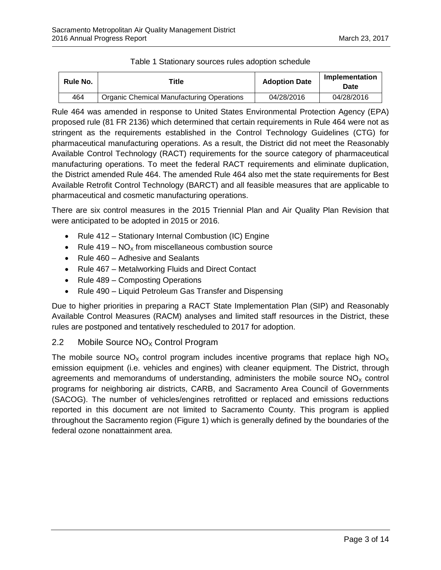| <b>Rule No.</b> | Title                                     | <b>Adoption Date</b> | Implementation<br>Date |
|-----------------|-------------------------------------------|----------------------|------------------------|
| 464             | Organic Chemical Manufacturing Operations | 04/28/2016           | 04/28/2016             |

#### Table 1 Stationary sources rules adoption schedule

Rule 464 was amended in response to United States Environmental Protection Agency (EPA) proposed rule (81 FR 2136) which determined that certain requirements in Rule 464 were not as stringent as the requirements established in the Control Technology Guidelines (CTG) for pharmaceutical manufacturing operations. As a result, the District did not meet the Reasonably Available Control Technology (RACT) requirements for the source category of pharmaceutical manufacturing operations. To meet the federal RACT requirements and eliminate duplication, the District amended Rule 464. The amended Rule 464 also met the state requirements for Best Available Retrofit Control Technology (BARCT) and all feasible measures that are applicable to pharmaceutical and cosmetic manufacturing operations.

There are six control measures in the 2015 Triennial Plan and Air Quality Plan Revision that were anticipated to be adopted in 2015 or 2016.

- Rule 412 Stationary Internal Combustion (IC) Engine
- Rule 419  $NO<sub>x</sub>$  from miscellaneous combustion source
- Rule 460 Adhesive and Sealants
- Rule 467 Metalworking Fluids and Direct Contact
- Rule 489 Composting Operations
- Rule 490 Liquid Petroleum Gas Transfer and Dispensing

Due to higher priorities in preparing a RACT State Implementation Plan (SIP) and Reasonably Available Control Measures (RACM) analyses and limited staff resources in the District, these rules are postponed and tentatively rescheduled to 2017 for adoption.

#### 2.2 Mobile Source  $NO<sub>x</sub>$  Control Program

The mobile source  $NO_x$  control program includes incentive programs that replace high  $NO_x$ emission equipment (i.e. vehicles and engines) with cleaner equipment. The District, through agreements and memorandums of understanding, administers the mobile source  $NO<sub>x</sub>$  control programs for neighboring air districts, CARB, and Sacramento Area Council of Governments (SACOG). The number of vehicles/engines retrofitted or replaced and emissions reductions reported in this document are not limited to Sacramento County. This program is applied throughout the Sacramento region (Figure 1) which is generally defined by the boundaries of the federal ozone nonattainment area.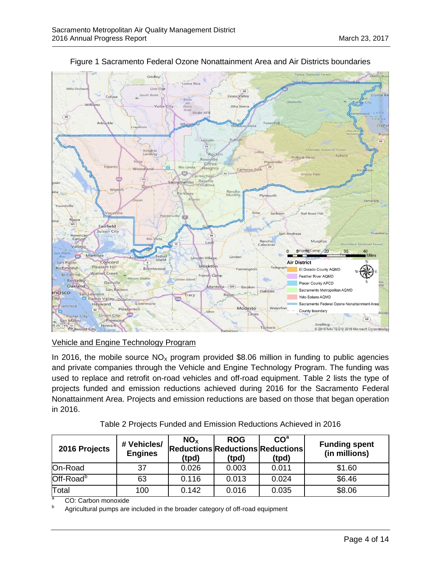

Figure 1 Sacramento Federal Ozone Nonattainment Area and Air Districts boundaries

Vehicle and Engine Technology Program

In 2016, the mobile source  $NO<sub>x</sub>$  program provided \$8.06 million in funding to public agencies and private companies through the Vehicle and Engine Technology Program. The funding was used to replace and retrofit on-road vehicles and off-road equipment. Table 2 lists the type of projects funded and emission reductions achieved during 2016 for the Sacramento Federal Nonattainment Area. Projects and emission reductions are based on those that began operation in 2016.

Table 2 Projects Funded and Emission Reductions Achieved in 2016

| 2016 Projects         | # Vehicles/<br><b>Engines</b> | NO <sub>x</sub><br><b>Reductions Reductions Reductions</b><br>(tpd) | <b>ROG</b><br>(tpd) | CO <sup>a</sup><br>(tpd) | <b>Funding spent</b><br>(in millions) |
|-----------------------|-------------------------------|---------------------------------------------------------------------|---------------------|--------------------------|---------------------------------------|
| On-Road               | 37                            | 0.026                                                               | 0.003               | 0.011                    | \$1.60                                |
| Off-Road <sup>b</sup> | 63                            | 0.116                                                               | 0.013               | 0.024                    | \$6.46                                |
| Total<br>----         | 100<br>. .                    | 0.142                                                               | 0.016               | 0.035                    | \$8.06                                |

<sup>a</sup> CO: Carbon monoxide

Agricultural pumps are included in the broader category of off-road equipment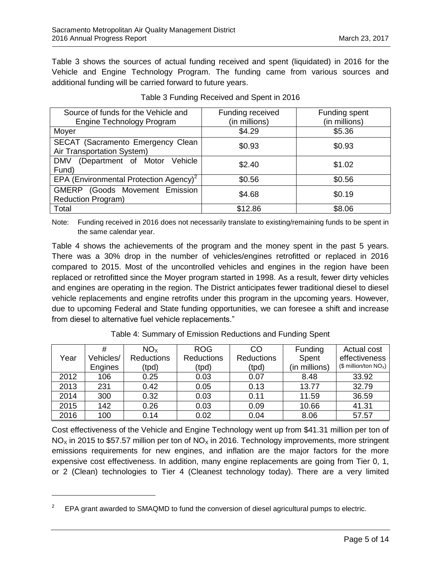Table 3 shows the sources of actual funding received and spent (liquidated) in 2016 for the Vehicle and Engine Technology Program. The funding came from various sources and additional funding will be carried forward to future years.

| Source of funds for the Vehicle and                             | Funding received | Funding spent |
|-----------------------------------------------------------------|------------------|---------------|
| Engine Technology Program                                       | (in millions)    | (in millions) |
| Moyer                                                           | \$4.29           | \$5.36        |
| SECAT (Sacramento Emergency Clean<br>Air Transportation System) | \$0.93           | \$0.93        |
| <b>DMV</b><br>(Department of Motor<br>Vehicle<br>Fund)          | \$2.40           | \$1.02        |
| EPA (Environmental Protection Agency) <sup>2</sup>              | \$0.56           | \$0.56        |
| GMERP (Goods Movement Emission<br><b>Reduction Program)</b>     | \$4.68           | \$0.19        |
| Total                                                           | \$12.86          | \$8.06        |

| Table 3 Funding Received and Spent in 2016 |  |  |
|--------------------------------------------|--|--|
|--------------------------------------------|--|--|

Note: Funding received in 2016 does not necessarily translate to existing/remaining funds to be spent in the same calendar year.

Table 4 shows the achievements of the program and the money spent in the past 5 years. There was a 30% drop in the number of vehicles/engines retrofitted or replaced in 2016 compared to 2015. Most of the uncontrolled vehicles and engines in the region have been replaced or retrofitted since the Moyer program started in 1998. As a result, fewer dirty vehicles and engines are operating in the region. The District anticipates fewer traditional diesel to diesel vehicle replacements and engine retrofits under this program in the upcoming years. However, due to upcoming Federal and State funding opportunities, we can foresee a shift and increase from diesel to alternative fuel vehicle replacements."

|      | #              | NO <sub>x</sub>   | <b>ROG</b>        | CO                | Funding       | Actual cost             |
|------|----------------|-------------------|-------------------|-------------------|---------------|-------------------------|
| Year | Vehicles/      | <b>Reductions</b> | <b>Reductions</b> | <b>Reductions</b> | Spent         | effectiveness           |
|      | <b>Engines</b> | (tpd)             | (tpd)             | (tpd)             | (in millions) | (\$ million/ton $NOx$ ) |
| 2012 | 106            | 0.25              | 0.03              | 0.07              | 8.48          | 33.92                   |
| 2013 | 231            | 0.42              | 0.05              | 0.13              | 13.77         | 32.79                   |
| 2014 | 300            | 0.32              | 0.03              | 0.11              | 11.59         | 36.59                   |
| 2015 | 142            | 0.26              | 0.03              | 0.09              | 10.66         | 41.31                   |
| 2016 | 100            | 0.14              | 0.02              | 0.04              | 8.06          | 57.57                   |

Table 4: Summary of Emission Reductions and Funding Spent

Cost effectiveness of the Vehicle and Engine Technology went up from \$41.31 million per ton of  $NO<sub>x</sub>$  in 2015 to \$57.57 million per ton of  $NO<sub>x</sub>$  in 2016. Technology improvements, more stringent emissions requirements for new engines, and inflation are the major factors for the more expensive cost effectiveness. In addition, many engine replacements are going from Tier 0, 1, or 2 (Clean) technologies to Tier 4 (Cleanest technology today). There are a very limited

<sup>2</sup> EPA grant awarded to SMAQMD to fund the conversion of diesel agricultural pumps to electric.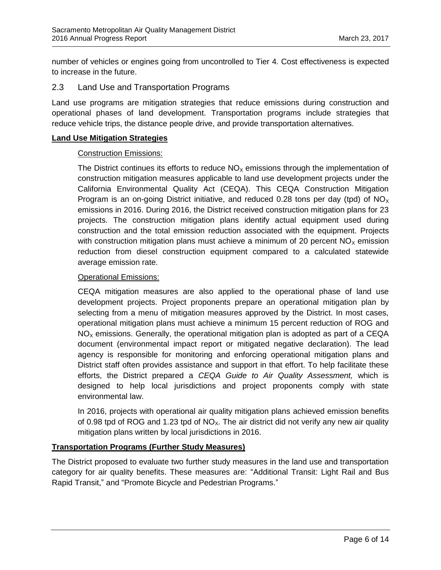number of vehicles or engines going from uncontrolled to Tier 4. Cost effectiveness is expected to increase in the future.

#### 2.3 Land Use and Transportation Programs

Land use programs are mitigation strategies that reduce emissions during construction and operational phases of land development. Transportation programs include strategies that reduce vehicle trips, the distance people drive, and provide transportation alternatives.

#### **Land Use Mitigation Strategies**

#### Construction Emissions:

The District continues its efforts to reduce  $NO<sub>x</sub>$  emissions through the implementation of construction mitigation measures applicable to land use development projects under the California Environmental Quality Act (CEQA). This CEQA Construction Mitigation Program is an on-going District initiative, and reduced 0.28 tons per day (tpd) of  $NO_x$ emissions in 2016. During 2016, the District received construction mitigation plans for 23 projects. The construction mitigation plans identify actual equipment used during construction and the total emission reduction associated with the equipment. Projects with construction mitigation plans must achieve a minimum of 20 percent  $NO<sub>x</sub>$  emission reduction from diesel construction equipment compared to a calculated statewide average emission rate.

#### Operational Emissions:

CEQA mitigation measures are also applied to the operational phase of land use development projects. Project proponents prepare an operational mitigation plan by selecting from a menu of mitigation measures approved by the District. In most cases, operational mitigation plans must achieve a minimum 15 percent reduction of ROG and  $NO<sub>x</sub>$  emissions. Generally, the operational mitigation plan is adopted as part of a CEQA document (environmental impact report or mitigated negative declaration). The lead agency is responsible for monitoring and enforcing operational mitigation plans and District staff often provides assistance and support in that effort. To help facilitate these efforts, the District prepared a *CEQA Guide to Air Quality Assessment,* which is designed to help local jurisdictions and project proponents comply with state environmental law.

In 2016, projects with operational air quality mitigation plans achieved emission benefits of 0.98 tpd of ROG and 1.23 tpd of  $NO<sub>x</sub>$ . The air district did not verify any new air quality mitigation plans written by local jurisdictions in 2016.

#### **Transportation Programs (Further Study Measures)**

The District proposed to evaluate two further study measures in the land use and transportation category for air quality benefits. These measures are: "Additional Transit: Light Rail and Bus Rapid Transit," and "Promote Bicycle and Pedestrian Programs."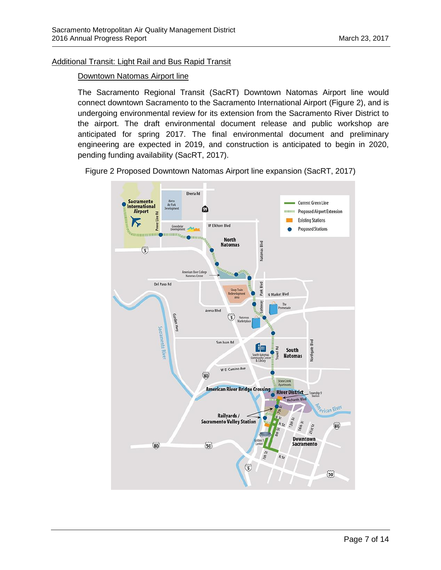#### Additional Transit: Light Rail and Bus Rapid Transit

#### Downtown Natomas Airport line

The Sacramento Regional Transit (SacRT) Downtown Natomas Airport line would connect downtown Sacramento to the Sacramento International Airport (Figure 2), and is undergoing environmental review for its extension from the Sacramento River District to the airport. The draft environmental document release and public workshop are anticipated for spring 2017. The final environmental document and preliminary engineering are expected in 2019, and construction is anticipated to begin in 2020, pending funding availability (SacRT, 2017).

Figure 2 Proposed Downtown Natomas Airport line expansion (SacRT, 2017)

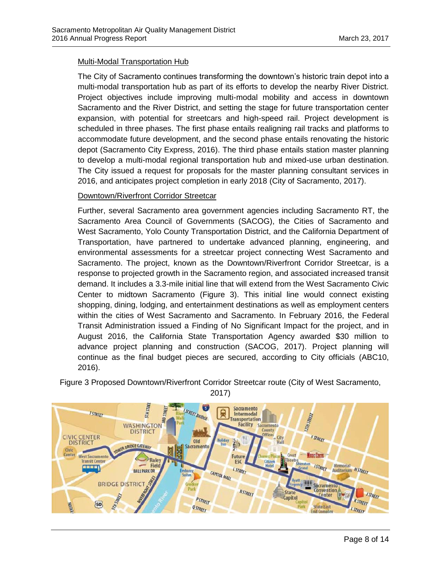#### Multi-Modal Transportation Hub

The City of Sacramento continues transforming the downtown's historic train depot into a multi-modal transportation hub as part of its efforts to develop the nearby River District. Project objectives include improving multi-modal mobility and access in downtown Sacramento and the River District, and setting the stage for future transportation center expansion, with potential for streetcars and high-speed rail. Project development is scheduled in three phases. The first phase entails realigning rail tracks and platforms to accommodate future development, and the second phase entails renovating the historic depot (Sacramento City Express, 2016). The third phase entails station master planning to develop a multi-modal regional transportation hub and mixed-use urban destination. The City issued a request for proposals for the master planning consultant services in 2016, and anticipates project completion in early 2018 (City of Sacramento, 2017).

#### Downtown/Riverfront Corridor Streetcar

Further, several Sacramento area government agencies including Sacramento RT, the Sacramento Area Council of Governments (SACOG), the Cities of Sacramento and West Sacramento, Yolo County Transportation District, and the California Department of Transportation, have partnered to undertake advanced planning, engineering, and environmental assessments for a streetcar project connecting West Sacramento and Sacramento. The project, known as the Downtown/Riverfront Corridor Streetcar, is a response to projected growth in the Sacramento region, and associated increased transit demand. It includes a 3.3-mile initial line that will extend from the West Sacramento Civic Center to midtown Sacramento (Figure 3). This initial line would connect existing shopping, dining, lodging, and entertainment destinations as well as employment centers within the cities of West Sacramento and Sacramento. In February 2016, the Federal Transit Administration issued a Finding of No Significant Impact for the project, and in August 2016, the California State Transportation Agency awarded \$30 million to advance project planning and construction (SACOG, 2017). Project planning will continue as the final budget pieces are secured, according to City officials (ABC10, 2016).



Figure 3 Proposed Downtown/Riverfront Corridor Streetcar route (City of West Sacramento, 2017)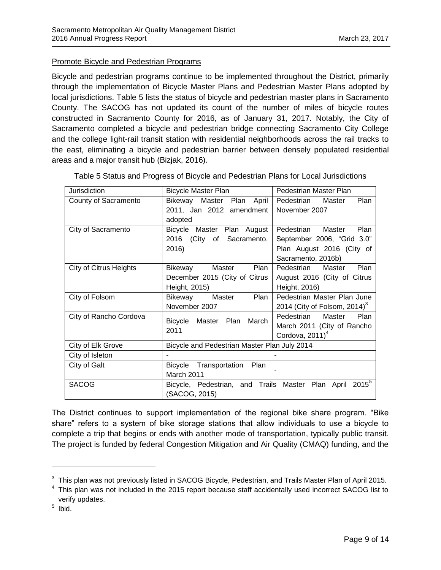#### Promote Bicycle and Pedestrian Programs

Bicycle and pedestrian programs continue to be implemented throughout the District, primarily through the implementation of Bicycle Master Plans and Pedestrian Master Plans adopted by local jurisdictions. Table 5 lists the status of bicycle and pedestrian master plans in Sacramento County. The SACOG has not updated its count of the number of miles of bicycle routes constructed in Sacramento County for 2016, as of January 31, 2017. Notably, the City of Sacramento completed a bicycle and pedestrian bridge connecting Sacramento City College and the college light-rail transit station with residential neighborhoods across the rail tracks to the east, eliminating a bicycle and pedestrian barrier between densely populated residential areas and a major transit hub (Bizjak, 2016).

| <b>Jurisdiction</b>           | <b>Bicycle Master Plan</b>                                          | Pedestrian Master Plan              |  |
|-------------------------------|---------------------------------------------------------------------|-------------------------------------|--|
| County of Sacramento          | Bikeway<br>Master Plan April                                        | Plan<br>Pedestrian<br>Master        |  |
|                               | 2011, Jan 2012 amendment                                            | November 2007                       |  |
|                               | adopted                                                             |                                     |  |
| City of Sacramento            | Bicycle Master Plan August                                          | Plan<br>Pedestrian<br>Master        |  |
|                               | 2016<br>(City of Sacramento,                                        | September 2006, "Grid 3.0"          |  |
|                               | 2016)                                                               | Plan August 2016 (City of           |  |
|                               |                                                                     | Sacramento, 2016b)                  |  |
| <b>City of Citrus Heights</b> | Master<br>Plan<br>Bikeway                                           | Pedestrian<br>Plan<br>Master        |  |
|                               | December 2015 (City of Citrus                                       | August 2016 (City of Citrus         |  |
|                               | Height, 2015)                                                       | Height, 2016)                       |  |
| City of Folsom                | Plan<br>Bikeway<br>Master                                           | Pedestrian Master Plan June         |  |
|                               | November 2007                                                       | 2014 (City of Folsom, 2014) $3$     |  |
| City of Rancho Cordova        |                                                                     | Pedestrian<br>Master<br><b>Plan</b> |  |
|                               | March<br>Bicycle Master Plan<br>2011                                | March 2011 (City of Rancho          |  |
|                               |                                                                     | Cordova, $2011$ <sup>4</sup>        |  |
| City of Elk Grove             | Bicycle and Pedestrian Master Plan July 2014                        |                                     |  |
| City of Isleton               |                                                                     |                                     |  |
| City of Galt                  | Bicycle Transportation<br>Plan                                      |                                     |  |
|                               | March 2011                                                          |                                     |  |
| <b>SACOG</b>                  | Bicycle, Pedestrian, and Trails Master Plan April 2015 <sup>5</sup> |                                     |  |
|                               | (SACOG, 2015)                                                       |                                     |  |
|                               |                                                                     |                                     |  |

Table 5 Status and Progress of Bicycle and Pedestrian Plans for Local Jurisdictions

The District continues to support implementation of the regional bike share program. "Bike share" refers to a system of bike storage stations that allow individuals to use a bicycle to complete a trip that begins or ends with another mode of transportation, typically public transit. The project is funded by federal Congestion Mitigation and Air Quality (CMAQ) funding, and the

 $\overline{a}$ 

 $^3$  This plan was not previously listed in SACOG Bicycle, Pedestrian, and Trails Master Plan of April 2015.

<sup>&</sup>lt;sup>4</sup> This plan was not included in the 2015 report because staff accidentally used incorrect SACOG list to verify updates.

<sup>&</sup>lt;sup>5</sup> Ibid.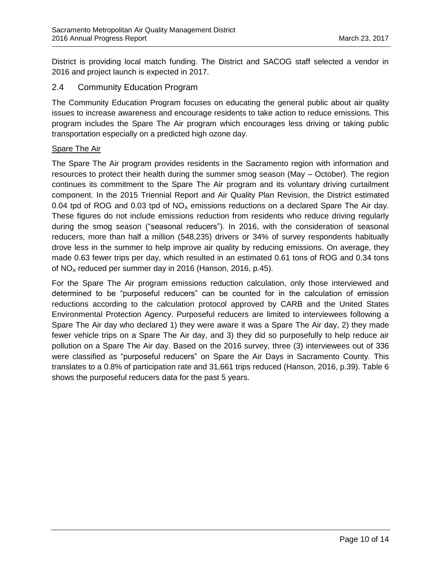District is providing local match funding. The District and SACOG staff selected a vendor in 2016 and project launch is expected in 2017.

#### 2.4 Community Education Program

The Community Education Program focuses on educating the general public about air quality issues to increase awareness and encourage residents to take action to reduce emissions. This program includes the Spare The Air program which encourages less driving or taking public transportation especially on a predicted high ozone day.

#### Spare The Air

The Spare The Air program provides residents in the Sacramento region with information and resources to protect their health during the summer smog season (May – October). The region continues its commitment to the Spare The Air program and its voluntary driving curtailment component. In the 2015 Triennial Report and Air Quality Plan Revision, the District estimated 0.04 tpd of ROG and 0.03 tpd of  $NO<sub>x</sub>$  emissions reductions on a declared Spare The Air day. These figures do not include emissions reduction from residents who reduce driving regularly during the smog season ("seasonal reducers"). In 2016, with the consideration of seasonal reducers, more than half a million (548,235) drivers or 34% of survey respondents habitually drove less in the summer to help improve air quality by reducing emissions. On average, they made 0.63 fewer trips per day, which resulted in an estimated 0.61 tons of ROG and 0.34 tons of  $NO<sub>x</sub>$  reduced per summer day in 2016 (Hanson, 2016, p.45).

For the Spare The Air program emissions reduction calculation, only those interviewed and determined to be "purposeful reducers" can be counted for in the calculation of emission reductions according to the calculation protocol approved by CARB and the United States Environmental Protection Agency. Purposeful reducers are limited to interviewees following a Spare The Air day who declared 1) they were aware it was a Spare The Air day, 2) they made fewer vehicle trips on a Spare The Air day, and 3) they did so purposefully to help reduce air pollution on a Spare The Air day. Based on the 2016 survey, three (3) interviewees out of 336 were classified as "purposeful reducers" on Spare the Air Days in Sacramento County. This translates to a 0.8% of participation rate and 31,661 trips reduced (Hanson, 2016, p.39). Table 6 shows the purposeful reducers data for the past 5 years.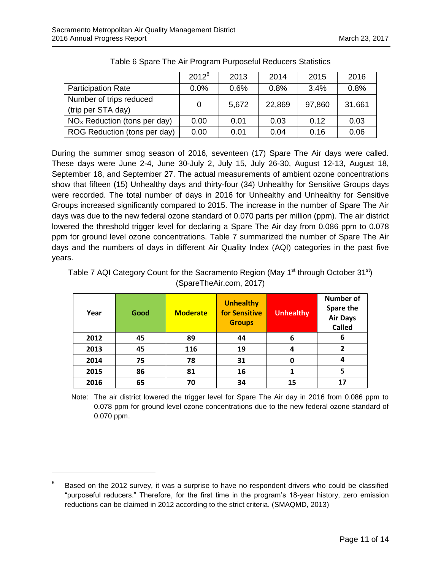|                                               | $2012^6$ | 2013  | 2014   | 2015   | 2016   |
|-----------------------------------------------|----------|-------|--------|--------|--------|
| <b>Participation Rate</b>                     | 0.0%     | 0.6%  | 0.8%   | 3.4%   | 0.8%   |
| Number of trips reduced<br>(trip per STA day) | 0        | 5,672 | 22,869 | 97,860 | 31,661 |
| $NOx$ Reduction (tons per day)                | 0.00     | 0.01  | 0.03   | 0.12   | 0.03   |
| ROG Reduction (tons per day)                  | 0.00     | 0.01  | 0.04   | 0.16   | 0.06   |

Table 6 Spare The Air Program Purposeful Reducers Statistics

During the summer smog season of 2016, seventeen (17) Spare The Air days were called. These days were June 2-4, June 30-July 2, July 15, July 26-30, August 12-13, August 18, September 18, and September 27. The actual measurements of ambient ozone concentrations show that fifteen (15) Unhealthy days and thirty-four (34) Unhealthy for Sensitive Groups days were recorded. The total number of days in 2016 for Unhealthy and Unhealthy for Sensitive Groups increased significantly compared to 2015. The increase in the number of Spare The Air days was due to the new federal ozone standard of 0.070 parts per million (ppm). The air district lowered the threshold trigger level for declaring a Spare The Air day from 0.086 ppm to 0.078 ppm for ground level ozone concentrations. Table 7 summarized the number of Spare The Air days and the numbers of days in different Air Quality Index (AQI) categories in the past five years.

| Table 7 AQI Category Count for the Sacramento Region (May 1 <sup>st</sup> through October 31 <sup>st</sup> ) |
|--------------------------------------------------------------------------------------------------------------|
| (SpareTheAir.com, 2017)                                                                                      |

| Year | Good | <b>Moderate</b> | <b>Unhealthy</b><br>for Sensitive<br><b>Groups</b> | <b>Unhealthy</b> | <b>Number of</b><br>Spare the<br><b>Air Days</b><br><b>Called</b> |
|------|------|-----------------|----------------------------------------------------|------------------|-------------------------------------------------------------------|
| 2012 | 45   | 89              | 44                                                 | 6                | 6                                                                 |
| 2013 | 45   | 116             | 19                                                 | 4                | 2                                                                 |
| 2014 | 75   | 78              | 31                                                 | 0                | 4                                                                 |
| 2015 | 86   | 81              | 16                                                 |                  | 5                                                                 |
| 2016 | 65   | 70              | 34                                                 | 15               | 17                                                                |

Note: The air district lowered the trigger level for Spare The Air day in 2016 from 0.086 ppm to 0.078 ppm for ground level ozone concentrations due to the new federal ozone standard of 0.070 ppm.

 $\overline{a}$ 

<sup>6</sup> Based on the 2012 survey, it was a surprise to have no respondent drivers who could be classified "purposeful reducers." Therefore, for the first time in the program's 18-year history, zero emission reductions can be claimed in 2012 according to the strict criteria. (SMAQMD, 2013)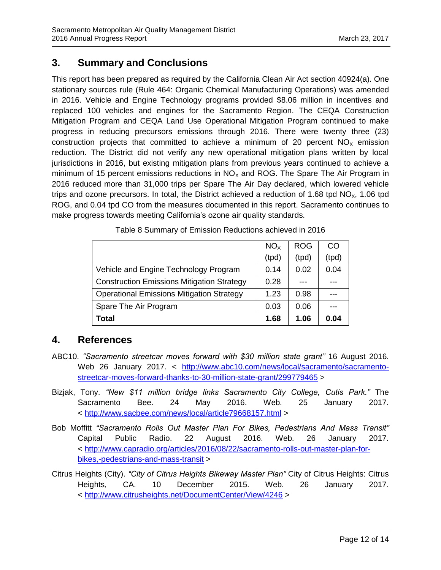## **3. Summary and Conclusions**

This report has been prepared as required by the California Clean Air Act section 40924(a). One stationary sources rule (Rule 464: Organic Chemical Manufacturing Operations) was amended in 2016. Vehicle and Engine Technology programs provided \$8.06 million in incentives and replaced 100 vehicles and engines for the Sacramento Region. The CEQA Construction Mitigation Program and CEQA Land Use Operational Mitigation Program continued to make progress in reducing precursors emissions through 2016. There were twenty three (23) construction projects that committed to achieve a minimum of 20 percent  $NO<sub>x</sub>$  emission reduction. The District did not verify any new operational mitigation plans written by local jurisdictions in 2016, but existing mitigation plans from previous years continued to achieve a minimum of 15 percent emissions reductions in  $NO<sub>x</sub>$  and ROG. The Spare The Air Program in 2016 reduced more than 31,000 trips per Spare The Air Day declared, which lowered vehicle trips and ozone precursors. In total, the District achieved a reduction of 1.68 tpd  $NO_{x}$ , 1.06 tpd ROG, and 0.04 tpd CO from the measures documented in this report. Sacramento continues to make progress towards meeting California's ozone air quality standards.

|                                                   | NO <sub>x</sub> | <b>ROG</b> | CO    |
|---------------------------------------------------|-----------------|------------|-------|
|                                                   | (tpd)           | (tpd)      | (tpd) |
| Vehicle and Engine Technology Program             | 0.14            | 0.02       | 0.04  |
| <b>Construction Emissions Mitigation Strategy</b> | 0.28            |            |       |
| <b>Operational Emissions Mitigation Strategy</b>  | 1.23            | 0.98       |       |
| Spare The Air Program                             | 0.03            | 0.06       |       |
| <b>Total</b>                                      | 1.68            | 1.06       | 0.04  |

Table 8 Summary of Emission Reductions achieved in 2016

### **4. References**

- ABC10. *"Sacramento streetcar moves forward with \$30 million state grant"* 16 August 2016. Web 26 January 2017. < [http://www.abc10.com/news/local/sacramento/sacramento](http://www.abc10.com/news/local/sacramento/sacramento-streetcar-moves-forward-thanks-to-30-million-state-grant/299779465)[streetcar-moves-forward-thanks-to-30-million-state-grant/299779465](http://www.abc10.com/news/local/sacramento/sacramento-streetcar-moves-forward-thanks-to-30-million-state-grant/299779465) >
- Bizjak, Tony. *"New \$11 million bridge links Sacramento City College, Cutis Park."* The Sacramento Bee. 24 May 2016. Web. 25 January 2017. < <http://www.sacbee.com/news/local/article79668157.html> >
- Bob Moffitt *"Sacramento Rolls Out Master Plan For Bikes, Pedestrians And Mass Transit"* Capital Public Radio. 22 August 2016. Web. 26 January 2017. < [http://www.capradio.org/articles/2016/08/22/sacramento-rolls-out-master-plan-for](http://www.capradio.org/articles/2016/08/22/sacramento-rolls-out-master-plan-for-bikes,-pedestrians-and-mass-transit)[bikes,-pedestrians-and-mass-transit](http://www.capradio.org/articles/2016/08/22/sacramento-rolls-out-master-plan-for-bikes,-pedestrians-and-mass-transit) >
- Citrus Heights (City). *"City of Citrus Heights Bikeway Master Plan"* City of Citrus Heights: Citrus Heights, CA. 10 December 2015. Web. 26 January 2017. < <http://www.citrusheights.net/DocumentCenter/View/4246> >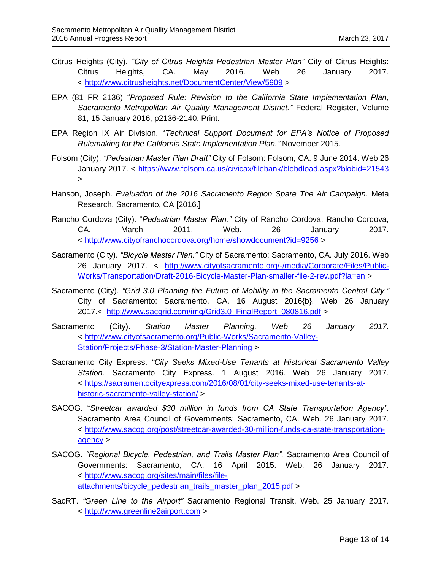- Citrus Heights (City). *"City of Citrus Heights Pedestrian Master Plan"* City of Citrus Heights: Citrus Heights, CA. May 2016. Web 26 January 2017. < <http://www.citrusheights.net/DocumentCenter/View/5909> >
- EPA (81 FR 2136) "*Proposed Rule: Revision to the California State Implementation Plan, Sacramento Metropolitan Air Quality Management District."* Federal Register, Volume 81, 15 January 2016, p2136-2140. Print.
- EPA Region IX Air Division. "*Technical Support Document for EPA's Notice of Proposed Rulemaking for the California State Implementation Plan."* November 2015.
- Folsom (City). *"Pedestrian Master Plan Draft"* City of Folsom: Folsom, CA. 9 June 2014. Web 26 January 2017. <<https://www.folsom.ca.us/civicax/filebank/blobdload.aspx?blobid=21543> >
- Hanson, Joseph. *Evaluation of the 2016 Sacramento Region Spare The Air Campaign*. Meta Research, Sacramento, CA [2016.]
- Rancho Cordova (City). "*Pedestrian Master Plan."* City of Rancho Cordova: Rancho Cordova, CA. March 2011. Web. 26 January 2017. < [http://www.cityofranchocordova.org/home/showdocument?id=9256](http://www.cityofranchocordova.org/home/showdocument?id=9256%20) >
- Sacramento (City). *"Bicycle Master Plan."* City of Sacramento: Sacramento, CA. July 2016. Web 26 January 2017. < [http://www.cityofsacramento.org/-/media/Corporate/Files/Public-](http://www.cityofsacramento.org/-/media/Corporate/Files/Public-Works/Transportation/Draft-2016-Bicycle-Master-Plan-smaller-file-2-rev.pdf?la=en)[Works/Transportation/Draft-2016-Bicycle-Master-Plan-smaller-file-2-rev.pdf?la=en](http://www.cityofsacramento.org/-/media/Corporate/Files/Public-Works/Transportation/Draft-2016-Bicycle-Master-Plan-smaller-file-2-rev.pdf?la=en) >
- Sacramento (City). *"Grid 3.0 Planning the Future of Mobility in the Sacramento Central City."* City of Sacramento: Sacramento, CA. 16 August 2016{b}. Web 26 January 2017.< [http://www.sacgrid.com/img/Grid3.0\\_FinalReport\\_080816.pdf](http://www.sacgrid.com/img/Grid3.0_FinalReport_080816.pdf) >
- Sacramento (City). *Station Master Planning. Web 26 January 2017.*  < [http://www.cityofsacramento.org/Public-Works/Sacramento-Valley-](http://www.cityofsacramento.org/Public-Works/Sacramento-Valley-Station/Projects/Phase-3/Station-Master-Planning)[Station/Projects/Phase-3/Station-Master-Planning](http://www.cityofsacramento.org/Public-Works/Sacramento-Valley-Station/Projects/Phase-3/Station-Master-Planning) >
- Sacramento City Express. *"City Seeks Mixed-Use Tenants at Historical Sacramento Valley Station.* Sacramento City Express. 1 August 2016. Web 26 January 2017. < [https://sacramentocityexpress.com/2016/08/01/city-seeks-mixed-use-tenants-at](https://sacramentocityexpress.com/2016/08/01/city-seeks-mixed-use-tenants-at-historic-sacramento-valley-station/)[historic-sacramento-valley-station/](https://sacramentocityexpress.com/2016/08/01/city-seeks-mixed-use-tenants-at-historic-sacramento-valley-station/) >
- SACOG. "*Streetcar awarded \$30 million in funds from CA State Transportation Agency".* Sacramento Area Council of Governments: Sacramento, CA. Web. 26 January 2017. < [http://www.sacog.org/post/streetcar-awarded-30-million-funds-ca-state-transportation](http://www.sacog.org/post/streetcar-awarded-30-million-funds-ca-state-transportation-agency)[agency](http://www.sacog.org/post/streetcar-awarded-30-million-funds-ca-state-transportation-agency) >
- SACOG. *"Regional Bicycle, Pedestrian, and Trails Master Plan".* Sacramento Area Council of Governments: Sacramento, CA. 16 April 2015. Web. 26 January 2017. < [http://www.sacog.org/sites/main/files/file](http://www.sacog.org/sites/main/files/file-attachments/bicycle_pedestrian_trails_master_plan_2015.pdf)[attachments/bicycle\\_pedestrian\\_trails\\_master\\_plan\\_2015.pdf](http://www.sacog.org/sites/main/files/file-attachments/bicycle_pedestrian_trails_master_plan_2015.pdf) >
- SacRT. *"Green Line to the Airport"* Sacramento Regional Transit. Web. 25 January 2017. < [http://www.greenline2airport.com](http://www.greenline2airport.com/) >